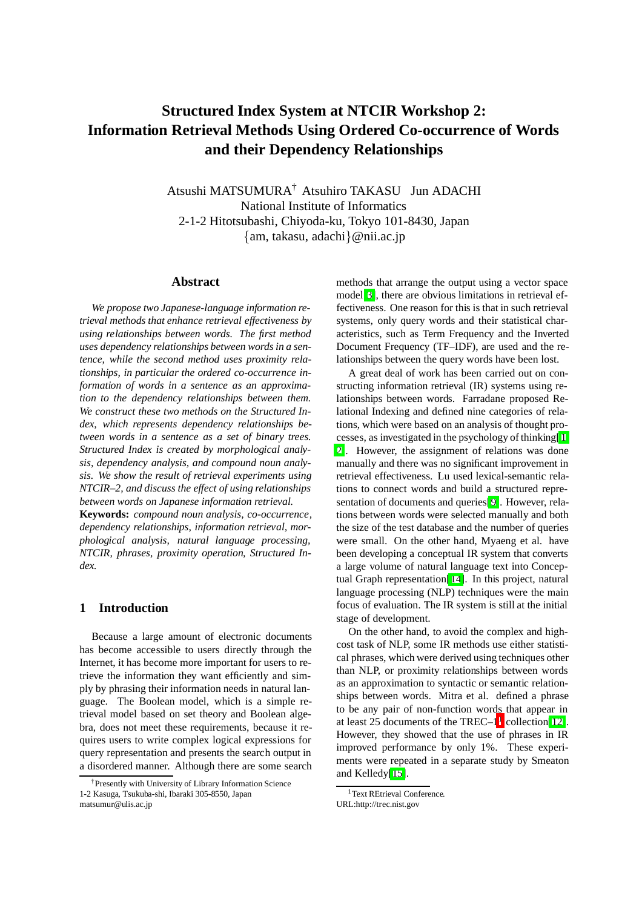# **Structured Index System at NTCIR Workshop 2: Information Retrieval Methods Using Ordered Co-occurrence of Words and their Dependency Relationships**

Atsushi MATSUMURA† Atsuhiro TAKASU Jun ADACHI National Institute of Informatics 2-1-2 Hitotsubashi, Chiyoda-ku, Tokyo 101-8430, Japan {am, takasu, adachi}@nii.ac.jp

#### **Abstract**

*We propose two Japanese-language information retrieval methods that enhance retrieval effectiveness by using relationships between words. The first method uses dependency relationships between words in a sentence, while the second method uses proximity relationships, in particular the ordered co-occurrence information of words in a sentence as an approximation to the dependency relationships between them. We construct these two methods on the Structured Index, which represents dependency relationships between words in a sentence as a set of binary trees. Structured Index is created by morphological analysis, dependency analysis, and compound noun analysis. We show the result of retrieval experiments using NTCIR–2, and discuss the effect of using relationships between words on Japanese information retrieval.*

**Keywords:** *compound noun analysis, co-occurrence, dependency relationships, information retrieval, morphological analysis, natural language processing, NTCIR, phrases, proximity operation, Structured Index.*

# **1 Introduction**

Because a large amount of electronic documents has become accessible to users directly through the Internet, it has become more important for users to retrieve the information they want efficiently and simply by phrasing their information needs in natural language. The Boolean model, which is a simple retrieval model based on set theory and Boolean algebra, does not meet these requirements, because it requires users to write complex logical expressions for query representation and presents the search output in a disordered manner. Although there are some search methods that arrange the output using a vector space model[\[3\]](#page-7-0), there are obvious limitations in retrieval effectiveness. One reason for this is that in such retrieval systems, only query words and their statistical characteristics, such as Term Frequency and the Inverted Document Frequency (TF–IDF), are used and the relationships between the query words have been lost.

A great deal of work has been carried out on constructing information retrieval (IR) systems using relationships between words. Farradane proposed Relational Indexing and defined nine categories of relations, which were based on an analysis of thought processes, as investigated in the psychology of thinking[[1,](#page-7-1) [2\]](#page-7-2). However, the assignment of relations was done manually and there was no significant improvement in retrieval effectiveness. Lu used lexical-semantic relations to connect words and build a structured representation of documents and queries[\[9\]](#page-7-3). However, relations between words were selected manually and both the size of the test database and the number of queries were small. On the other hand, Myaeng et al. have been developing a conceptual IR system that converts a large volume of natural language text into Conceptual Graph representation[\[14\]](#page-7-4). In this project, natural language processing (NLP) techniques were the main focus of evaluation. The IR system is still at the initial stage of development.

On the other hand, to avoid the complex and highcost task of NLP, some IR methods use either statistical phrases, which were derived using techniques other than NLP, or proximity relationships between words as an approximation to syntactic or semantic relationships between words. Mitra et al. defined a phrase to be any pair of non-function words that appear in at least 25 documents of the TREC– $1^1$  $1^1$  collection[\[12\]](#page-7-5). However, they showed that the use of phrases in IR improved performance by only 1%. These experiments were repeated in a separate study by Smeaton and Kelledy[\[15\]](#page-7-6).

<sup>†</sup>Presently with University of Library Information Science 1-2 Kasuga, Tsukuba-shi, Ibaraki 305-8550, Japan matsumur@ulis.ac.jp

<sup>&</sup>lt;sup>1</sup>Text REtrieval Conference.

<span id="page-0-0"></span>URL:http://trec.nist.gov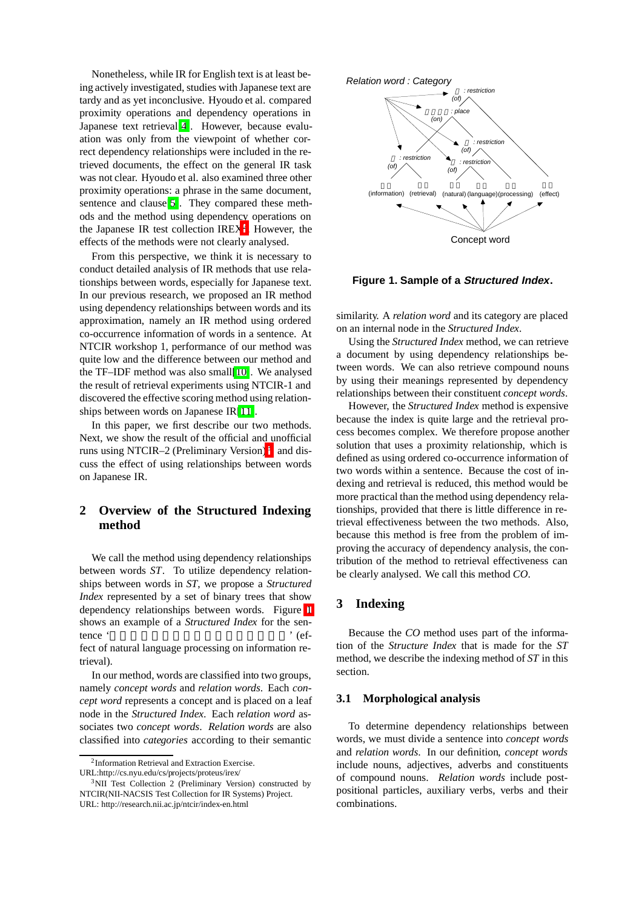Nonetheless, while IR for English text is at least being actively investigated, studies with Japanese text are tardy and as yet inconclusive. Hyoudo et al. compared proximity operations and dependency operations in Japanese text retrieval[\[4\]](#page-7-7). However, because evaluation was only from the viewpoint of whether correct dependency relationships were included in the retrieved documents, the effect on the general IR task was not clear. Hyoudo et al. also examined three other proximity operations: a phrase in the same document, sentence and clause[\[5\]](#page-7-8). They compared these methods and the method using dependency operations on the Japanese IR test collection IREX<sup>[2](#page-1-0)</sup>. However, the effects of the methods were not clearly analysed.

From this perspective, we think it is necessary to conduct detailed analysis of IR methods that use relationships between words, especially for Japanese text. In our previous research, we proposed an IR method using dependency relationships between words and its approximation, namely an IR method using ordered co-occurrence information of words in a sentence. At NTCIR workshop 1, performance of our method was quite low and the difference between our method and the TF–IDF method was also small[\[10\]](#page-7-9). We analysed the result of retrieval experiments using NTCIR-1 and discovered the effective scoring method using relationships between words on Japanese IR[\[11\]](#page-7-10).

In this paper, we first describe our two methods. Next, we show the result of the official and unofficial runs using NTCIR–2 (Preliminary Version)<sup>3</sup>, and discuss the effect of using relationships between words on Japanese IR.

# **2 Overview of the Structured Indexing method**

We call the method using dependency relationships between words *ST*. To utilize dependency relationships between words in *ST*, we propose a *Structured Index* represented by a set of binary trees that show dependency relationships between words. Figure [1](#page-1-2) shows an example of a *Structured Index* for the sentence ' fect of natural language processing on information re-

trieval).

In our method, words are classified into two groups, namely *concept words* and *relation words*. Each *concept word* represents a concept and is placed on a leaf node in the *Structured Index*. Each *relation word* associates two *concept words*. *Relation words* are also classified into *categories* according to their semantic



#### **Figure 1. Sample of a Structured Index.**

<span id="page-1-2"></span>similarity. A *relation word* and its category are placed on an internal node in the *Structured Index*.

Using the *Structured Index* method, we can retrieve a document by using dependency relationships between words. We can also retrieve compound nouns by using their meanings represented by dependency relationships between their constituent *concept words*.

However, the *Structured Index* method is expensive because the index is quite large and the retrieval process becomes complex. We therefore propose another solution that uses a proximity relationship, which is defined as using ordered co-occurrence information of two words within a sentence. Because the cost of indexing and retrieval is reduced, this method would be more practical than the method using dependency relationships, provided that there is little difference in retrieval effectiveness between the two methods. Also, because this method is free from the problem of improving the accuracy of dependency analysis, the contribution of the method to retrieval effectiveness can be clearly analysed. We call this method *CO*.

# **3 Indexing**

Because the *CO* method uses part of the information of the *Structure Index* that is made for the *ST* method, we describe the indexing method of *ST* in this section.

### **3.1 Morphological analysis**

To determine dependency relationships between words, we must divide a sentence into *concept words* and *relation words*. In our definition, *concept words* include nouns, adjectives, adverbs and constituents of compound nouns. *Relation words* include postpositional particles, auxiliary verbs, verbs and their combinations.

 $2$ Information Retrieval and Extraction Exercise. URL:http://cs.nyu.edu/cs/projects/proteus/irex/

<span id="page-1-1"></span><span id="page-1-0"></span> $3$ NII Test Collection 2 (Preliminary Version) constructed by NTCIR(NII-NACSIS Test Collection for IR Systems) Project. URL: http://research.nii.ac.jp/ntcir/index-en.html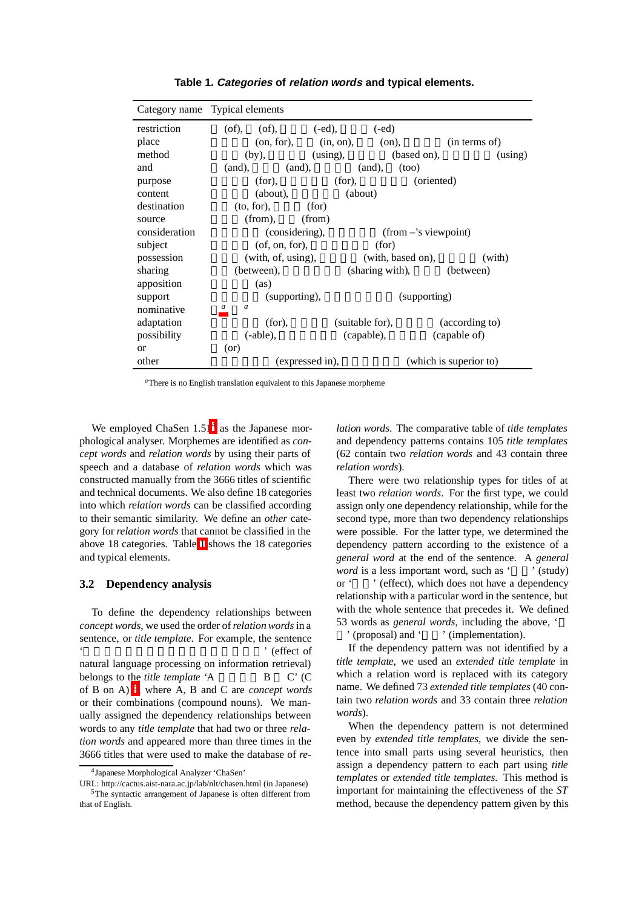<span id="page-2-2"></span>

| Category name Typical elements |                       |                 |                     |                              |             |                        |
|--------------------------------|-----------------------|-----------------|---------------------|------------------------------|-------------|------------------------|
| restriction                    | (of),<br>$($ of $)$ , |                 | $(-ed),$            | $(-ed)$                      |             |                        |
| place                          |                       | (on, for),      | $(in, on),$ $(on),$ |                              |             | (in terms of)          |
| method                         | (by),                 |                 | $(using)$ ,         |                              | (based on), | (using)                |
| and                            | (and),                | (and),          |                     | (and),                       | (100)       |                        |
| purpose                        | (for),                |                 | (for),              |                              | (oriented)  |                        |
| content                        | (about),              |                 | (about)             |                              |             |                        |
| destination                    | $(to, for)$ ,         | (for)           |                     |                              |             |                        |
| source                         | $(from)$ ,            | (from)          |                     |                              |             |                        |
| consideration                  | (considering),        |                 |                     | $(from -'s viewpoint)$       |             |                        |
| subject                        | $($ of, on, for $),$  |                 |                     | (for)                        |             |                        |
| possession                     | (with, of, using),    |                 |                     | (with, based on),            |             | (with)                 |
| sharing                        | (between),            |                 |                     | (sharing with),<br>(between) |             |                        |
| apposition                     | (as)                  |                 |                     |                              |             |                        |
| support                        | (supporting),         |                 |                     | (supporting)                 |             |                        |
| nominative                     | $\boldsymbol{a}$<br>a |                 |                     |                              |             |                        |
| adaptation                     | (for),                |                 |                     | (suitable for),              |             | (according to)         |
| possibility                    | $(-able),$            |                 |                     | (capable),<br>(capable of)   |             |                        |
| $\alpha$                       | (or)                  |                 |                     |                              |             |                        |
| other                          |                       | (expressed in). |                     |                              |             | (which is superior to) |

**Table 1. Categories of relation words and typical elements.**

*<sup>a</sup>*There is no English translation equivalent to this Japanese morpheme

<span id="page-2-0"></span>We employed ChaSen  $1.51<sup>4</sup>$  as the Japanese morphological analyser. Morphemes are identified as *concept words* and *relation words* by using their parts of speech and a database of *relation words* which was constructed manually from the 3666 titles of scientific and technical documents. We also define 18 categories into which *relation words* can be classified according to their semantic similarity. We define an *other* category for *relation words* that cannot be classified in the above 18 categories. Table [1](#page-2-2) shows the 18 categories and typical elements.

# **3.2 Dependency analysis**

To define the dependency relationships between *concept words*, we used the order of*relation words*in a sentence, or *title template*. For example, the sentence ' (effect of natural language processing on information retrieval) belongs to the *title template* 'A B C' (C of B on A) [5](#page-2-3), where A, B and C are *concept words* or their combinations (compound nouns). We manually assigned the dependency relationships between words to any *title template* that had two or three *relation words* and appeared more than three times in the 3666 titles that were used to make the database of *re-* *lation words*. The comparative table of *title templates* and dependency patterns contains 105 *title templates* (62 contain two *relation words* and 43 contain three *relation words*).

There were two relationship types for titles of at least two *relation words*. For the first type, we could assign only one dependency relationship, while for the second type, more than two dependency relationships were possible. For the latter type, we determined the dependency pattern according to the existence of a *general word* at the end of the sentence. A *general word* is a less important word, such as ' (study) or '' (effect), which does not have a dependency relationship with a particular word in the sentence, but with the whole sentence that precedes it. We defined 53 words as *general words*, including the above, '

 $($ proposal $)$  and  $'$   $'$   $'$  (implementation).

If the dependency pattern was not identified by a *title template*, we used an *extended title template* in which a relation word is replaced with its category name. We defined 73 *extended title templates* (40 contain two *relation words* and 33 contain three *relation words*).

When the dependency pattern is not determined even by *extended title templates*, we divide the sentence into small parts using several heuristics, then assign a dependency pattern to each part using *title templates* or *extended title templates*. This method is important for maintaining the effectiveness of the *ST* method, because the dependency pattern given by this

<sup>4</sup>Japanese Morphological Analyzer 'ChaSen'

<span id="page-2-3"></span><span id="page-2-1"></span>URL: http://cactus.aist-nara.ac.jp/lab/nlt/chasen.html (in Japanese) <sup>5</sup>The syntactic arrangement of Japanese is often different from that of English.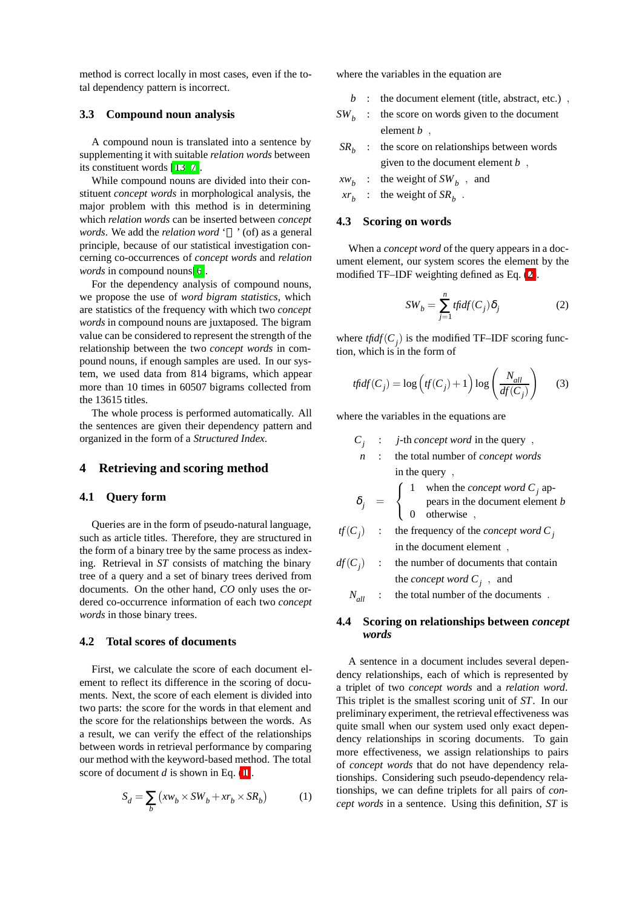method is correct locally in most cases, even if the total dependency pattern is incorrect.

#### **3.3 Compound noun analysis**

A compound noun is translated into a sentence by supplementing it with suitable *relation words* between its constituent words [\[13,](#page-7-11) [7\]](#page-7-12).

While compound nouns are divided into their constituent *concept words* in morphological analysis, the major problem with this method is in determining which *relation words* can be inserted between *concept words*. We add the *relation word* ' ' (of) as a general principle, because of our statistical investigation concerning co-occurrences of *concept words* and *relation words* in compound nouns[\[6\]](#page-7-13).

For the dependency analysis of compound nouns, we propose the use of *word bigram statistics*, which are statistics of the frequency with which two *concept words* in compound nouns are juxtaposed. The bigram value can be considered to represent the strength of the relationship between the two *concept words* in compound nouns, if enough samples are used. In our system, we used data from 814 bigrams, which appear more than 10 times in 60507 bigrams collected from the 13615 titles.

The whole process is performed automatically. All the sentences are given their dependency pattern and organized in the form of a *Structured Index*.

### **4 Retrieving and scoring method**

### **4.1 Query form**

Queries are in the form of pseudo-natural language, such as article titles. Therefore, they are structured in the form of a binary tree by the same process as indexing. Retrieval in *ST* consists of matching the binary tree of a query and a set of binary trees derived from documents. On the other hand, *CO* only uses the ordered co-occurrence information of each two *concept words* in those binary trees.

# **4.2 Total scores of documents**

First, we calculate the score of each document element to reflect its difference in the scoring of documents. Next, the score of each element is divided into two parts: the score for the words in that element and the score for the relationships between the words. As a result, we can verify the effect of the relationships between words in retrieval performance by comparing our method with the keyword-based method. The total score of document *d* is shown in Eq. [\(1\)](#page-3-0).

<span id="page-3-0"></span>
$$
S_d = \sum_b \left( x w_b \times SW_b + x r_b \times SR_b \right) \tag{1}
$$

where the variables in the equation are

- *b* : the document element (title, abstract, etc.) *,*
- $SW<sub>b</sub>$  : the score on words given to the document element *b ,*
- $SR<sub>b</sub>$  : the score on relationships between words given to the document element *b ,*
- $xw_b$  : the weight of  $SW_b$ , and
- $xr_b$  : the weight of  $SR_b$ .

### **4.3 Scoring on words**

When a *concept word* of the query appears in a document element, our system scores the element by the modified TF–IDF weighting defined as Eq. [\(2\)](#page-3-1).

$$
SW_b = \sum_{j=1}^{n} \text{tfidf}(C_j) \delta_j \tag{2}
$$

<span id="page-3-1"></span>where  $tfidf(C_j)$  is the modified TF–IDF scoring function, which is in the form of

$$
tfidf(C_j) = \log \left( tf(C_j) + 1 \right) \log \left( \frac{N_{all}}{df(C_j)} \right) \tag{3}
$$

<span id="page-3-2"></span>where the variables in the equations are

$$
C_j : j\text{-th} \text{ concept word in the query },
$$

*n* : the total number of *concept words* in the query *,*

$$
\delta_j = \begin{cases}\n1 & \text{when the concept word } C_j \text{ ap-} \\
0 & \text{otherwise}\n\end{cases}
$$

 $tf(C_j)$  : the frequency of the *concept word*  $C_j$ in the document element *,*

$$
df(C_j)
$$
 : the number of documents that contain  
the *concept word C\_j*, and

*Nall* : the total number of the documents *.*

### **4.4 Scoring on relationships between** *concept words*

A sentence in a document includes several dependency relationships, each of which is represented by a triplet of two *concept words* and a *relation word*. This triplet is the smallest scoring unit of *ST*. In our preliminary experiment, the retrieval effectiveness was quite small when our system used only exact dependency relationships in scoring documents. To gain more effectiveness, we assign relationships to pairs of *concept words* that do not have dependency relationships. Considering such pseudo-dependency relationships, we can define triplets for all pairs of *concept words* in a sentence. Using this definition, *ST* is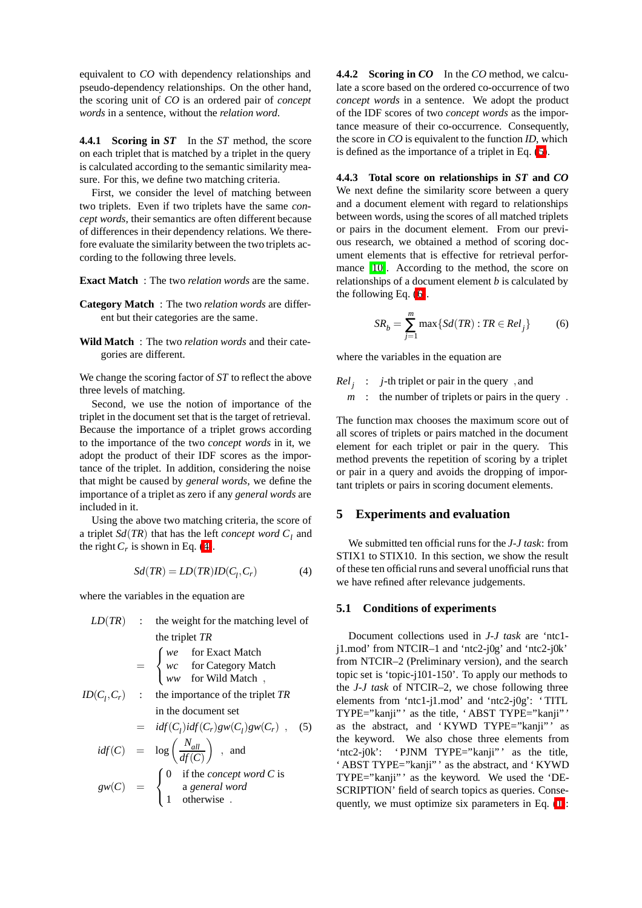equivalent to *CO* with dependency relationships and pseudo-dependency relationships. On the other hand, the scoring unit of *CO* is an ordered pair of *concept words* in a sentence, without the *relation word*.

**4.4.1 Scoring in** *ST* In the *ST* method, the score on each triplet that is matched by a triplet in the query is calculated according to the semantic similarity measure. For this, we define two matching criteria.

First, we consider the level of matching between two triplets. Even if two triplets have the same *concept words*, their semantics are often different because of differences in their dependency relations. We therefore evaluate the similarity between the two triplets according to the following three levels.

**Exact Match** : The two *relation words* are the same.

- **Category Match** : The two *relation words* are different but their categories are the same.
- **Wild Match** : The two *relation words* and their categories are different.

We change the scoring factor of *ST* to reflect the above three levels of matching.

Second, we use the notion of importance of the triplet in the document set that is the target of retrieval. Because the importance of a triplet grows according to the importance of the two *concept words* in it, we adopt the product of their IDF scores as the importance of the triplet. In addition, considering the noise that might be caused by *general words*, we define the importance of a triplet as zero if any *general words* are included in it.

Using the above two matching criteria, the score of a triplet  $Sd(TR)$  that has the left *concept word*  $C<sub>l</sub>$  and the right  $C_r$  is shown in Eq. [\(4\)](#page-4-0).

$$
Sd(TR) = LD(TR)ID(Cl, Cr)
$$
\n(4)

<span id="page-4-0"></span>where the variables in the equation are

<span id="page-4-1"></span>*LD*(*TR*) : the weight for the matching level of the triplet *TR* =  $\sqrt{ }$ <sup>J</sup>  $\mathcal{L}$ *we* for Exact Match *wc* for Category Match *ww* for Wild Match *,*  $ID(C_l, C_r)$  : the importance of the triplet *TR* in the document set  $=$   $idf(C_l)idf(C_r)gw(C_l)gw(C_r)$ , (5)  $\textit{idf}(C) = \log \left( \frac{N_{\textit{all}}}{N_{\textit{IC}}(C)} \right)$ , and

$$
gw(C) = \log \left(\frac{df(C)}{df(C)}\right)
$$
, and  
 
$$
gw(C) = \begin{cases} 0 & \text{if the concept word } C \text{ is} \\ 1 & \text{otherwise} \end{cases}
$$

**4.4.2 Scoring in** *CO* In the *CO* method, we calculate a score based on the ordered co-occurrence of two *concept words* in a sentence. We adopt the product of the IDF scores of two *concept words* as the importance measure of their co-occurrence. Consequently, the score in *CO* is equivalent to the function *ID*, which is defined as the importance of a triplet in Eq. [\(5\)](#page-4-1).

**4.4.3 Total score on relationships in** *ST* **and** *CO* We next define the similarity score between a query and a document element with regard to relationships between words, using the scores of all matched triplets or pairs in the document element. From our previous research, we obtained a method of scoring document elements that is effective for retrieval performance [\[10\]](#page-7-9). According to the method, the score on relationships of a document element *b* is calculated by the following Eq. [\(6\)](#page-4-2).

$$
SR_b = \sum_{j=1}^{m} \max\{Sd(TR) : TR \in Rel_j\} \tag{6}
$$

<span id="page-4-2"></span>where the variables in the equation are

*Relj* : *j*-th triplet or pair in the query *,* and *m* : the number of triplets or pairs in the query *.*

The function max chooses the maximum score out of all scores of triplets or pairs matched in the document element for each triplet or pair in the query. This method prevents the repetition of scoring by a triplet or pair in a query and avoids the dropping of important triplets or pairs in scoring document elements.

# **5 Experiments and evaluation**

We submitted ten official runs for the *J-J task*: from STIX1 to STIX10. In this section, we show the result of these ten official runs and several unofficial runs that we have refined after relevance judgements.

### **5.1 Conditions of experiments**

Document collections used in *J-J task* are 'ntc1 j1.mod' from NTCIR–1 and 'ntc2-j0g' and 'ntc2-j0k' from NTCIR–2 (Preliminary version), and the search topic set is 'topic-j101-150'. To apply our methods to the *J-J task* of NTCIR–2, we chose following three elements from 'ntc1-j1.mod' and 'ntc2-j0g': ' TITL TYPE="kanji"' as the title, 'ABST TYPE="kanji"' as the abstract, and 'KYWD TYPE="kanji"' as the keyword. We also chose three elements from 'ntc2-j0k': 'PJNM TYPE="kanji"' as the title, ' ABST TYPE="kanji"' as the abstract, and 'KYWD TYPE="kanji" as the keyword. We used the 'DE-SCRIPTION' field of search topics as queries. Consequently, we must optimize six parameters in Eq. [\(1\)](#page-3-0):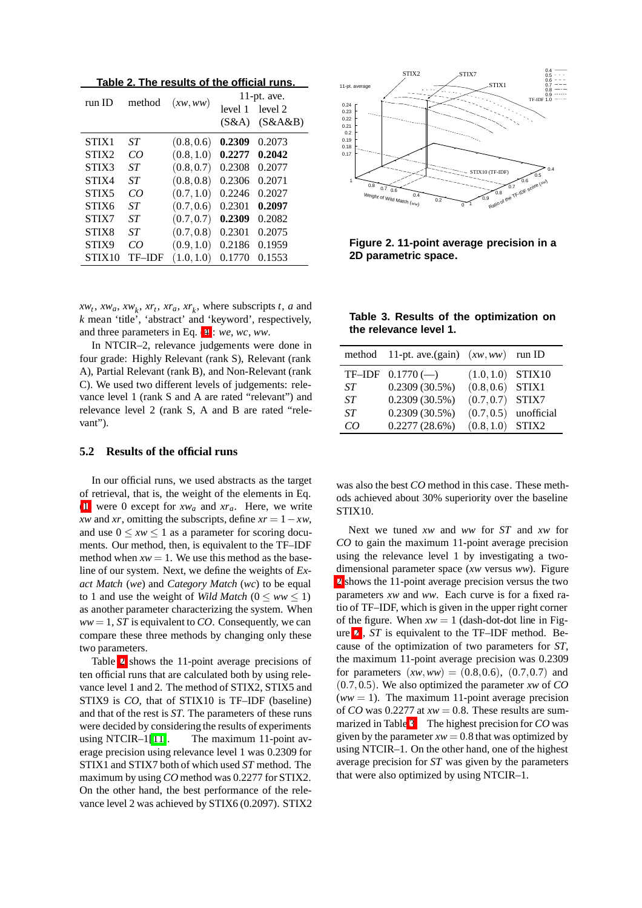**Table 2. The results of the official runs.**

<span id="page-5-0"></span>

| run ID             | method | (xw,ww)    | $11$ -pt. ave. |         |  |
|--------------------|--------|------------|----------------|---------|--|
|                    |        |            | level 1        | level 2 |  |
|                    |        |            | (S&A)          | (S&A&B) |  |
| STIX1              | ST     | (0.8, 0.6) | 0.2309         | 0.2073  |  |
| STIX <sub>2</sub>  | CO     | (0.8, 1.0) | 0.2277         | 0.2042  |  |
| STIX3              | ST     | (0.8, 0.7) | 0.2308         | 0.2077  |  |
| STIX4              | ST     | (0.8, 0.8) | 0.2306         | 0.2071  |  |
| STIX5              | CO     | (0.7, 1.0) | 0.2246         | 0.2027  |  |
| STIX6              | ST     | (0.7, 0.6) | 0.2301         | 0.2097  |  |
| STIX7              | ST     | (0.7, 0.7) | 0.2309         | 0.2082  |  |
| STIX8              | ST     | (0.7, 0.8) | 0.2301         | 0.2075  |  |
| STIX9              | CO     | (0.9, 1.0) | 0.2186         | 0.1959  |  |
| STIX <sub>10</sub> | TF–IDF | (1.0, 1.0) | 0.1770         | 0.1553  |  |

 $xw_t$ ,  $xw_a$ ,  $xw_k$ ,  $xr_t$ ,  $xr_a$ ,  $xr_k$ , where subscripts *t*, *a* and *k* mean 'title', 'abstract' and 'keyword', respectively, and three parameters in Eq. [\(4\)](#page-4-0): *we*, *wc*, *ww*.

In NTCIR–2, relevance judgements were done in four grade: Highly Relevant (rank S), Relevant (rank A), Partial Relevant (rank B), and Non-Relevant (rank C). We used two different levels of judgements: relevance level 1 (rank S and A are rated "relevant") and relevance level 2 (rank S, A and B are rated "relevant").

### **5.2 Results of the official runs**

In our official runs, we used abstracts as the target of retrieval, that is, the weight of the elements in Eq. [\(1\)](#page-3-0) were 0 except for *xwa* and *xra*. Here, we write *xw* and *xr*, omitting the subscripts, define  $xr = 1 - xw$ , and use  $0 \leq xw \leq 1$  as a parameter for scoring documents. Our method, then, is equivalent to the TF–IDF method when  $xw = 1$ . We use this method as the baseline of our system. Next, we define the weights of *Exact Match* (*we*) and *Category Match* (*wc*) to be equal to 1 and use the weight of *Wild Match*  $(0 \leq ww \leq 1)$ as another parameter characterizing the system. When  $ww = 1$ , *ST* is equivalent to *CO*. Consequently, we can compare these three methods by changing only these two parameters.

Table [2](#page-5-0) shows the 11-point average precisions of ten official runs that are calculated both by using relevance level 1 and 2. The method of STIX2, STIX5 and STIX9 is *CO*, that of STIX10 is TF–IDF (baseline) and that of the rest is *ST*. The parameters of these runs were decided by considering the results of experiments using NTCIR–1[\[11\]](#page-7-10). The maximum 11-point average precision using relevance level 1 was 0.2309 for STIX1 and STIX7 both of which used *ST* method. The maximum by using *CO* method was 0.2277 for STIX2. On the other hand, the best performance of the relevance level 2 was achieved by STIX6 (0.2097). STIX2



<span id="page-5-1"></span>**Figure 2. 11-point average precision in a 2D parametric space.**

<span id="page-5-2"></span>**Table 3. Results of the optimization on the relevance level 1.**

|     | method 11-pt. ave.(gain) $(xw,ww)$ run ID |                     |            |
|-----|-------------------------------------------|---------------------|------------|
|     | $TF-IDF 0.1770 (-)$                       | $(1.0, 1.0)$ STIX10 |            |
| ST  | $0.2309(30.5\%)$                          | $(0.8, 0.6)$ STIX1  |            |
| ST  | $0.2309(30.5\%)$                          | $(0.7, 0.7)$ STIX7  |            |
| ST  | $0.2309(30.5\%)$                          | (0.7, 0.5)          | unofficial |
| (1) | $0.2277(28.6\%)$                          | $(0.8, 1.0)$ STIX2  |            |

was also the best *CO* method in this case. These methods achieved about 30% superiority over the baseline STIX10.

Next we tuned *xw* and *ww* for *ST* and *xw* for *CO* to gain the maximum 11-point average precision using the relevance level 1 by investigating a twodimensional parameter space (*xw* versus *ww*). Figure [2](#page-5-1) shows the 11-point average precision versus the two parameters *xw* and *ww*. Each curve is for a fixed ratio of TF–IDF, which is given in the upper right corner of the figure. When  $xw = 1$  (dash-dot-dot line in Figure [2\)](#page-5-1), *ST* is equivalent to the TF–IDF method. Because of the optimization of two parameters for *ST*, the maximum 11-point average precision was 0.2309 for parameters  $(xw, ww) = (0.8,0.6), (0.7,0.7)$  and (0*.*7*,*0*.*5). We also optimized the parameter *xw* of *CO*  $(ww = 1)$ . The maximum 11-point average precision of *CO* was 0.2277 at  $xw = 0.8$ . These results are summarized in Table [3.](#page-5-2) The highest precision for *CO* was given by the parameter  $xw = 0.8$  that was optimized by using NTCIR–1. On the other hand, one of the highest average precision for *ST* was given by the parameters that were also optimized by using NTCIR–1.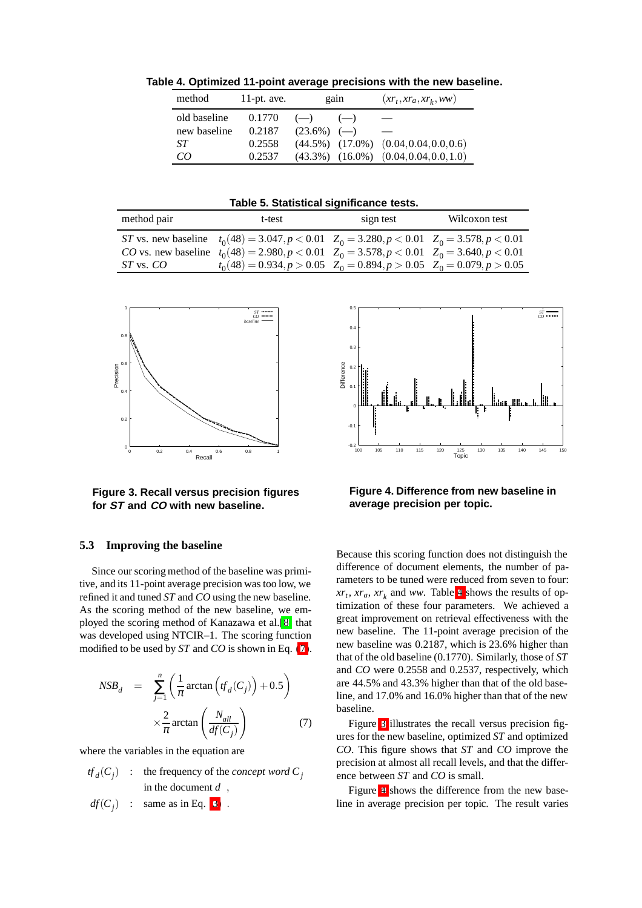<span id="page-6-1"></span>**Table 4. Optimized 11-point average precisions with the new baseline.**

| method       | 11-pt. ave. | gain           | $(xr_t, xr_a, xr_k, ww)$                       |
|--------------|-------------|----------------|------------------------------------------------|
| old baseline | 0.1770      | $(-)$<br>$(-)$ | $\overline{\phantom{a}}$                       |
| new baseline | 0.2187      | $(23.6\%)$ (-) |                                                |
| ST           | 0.2558      |                | $(44.5\%)$ $(17.0\%)$ $(0.04, 0.04, 0.0, 0.6)$ |
| CO           | 0.2537      |                | $(43.3\%)$ $(16.0\%)$ $(0.04, 0.04, 0.0, 1.0)$ |

<span id="page-6-4"></span>**Table 5. Statistical significance tests.**

| method pair   | t-test                                                                                                                                                                                                                                                                            | sign test | Wilcoxon test |
|---------------|-----------------------------------------------------------------------------------------------------------------------------------------------------------------------------------------------------------------------------------------------------------------------------------|-----------|---------------|
| $ST$ vs. $CO$ | ST vs. new baseline $t_0(48) = 3.047, p < 0.01$ $Z_0 = 3.280, p < 0.01$ $Z_0 = 3.578, p < 0.01$<br>CO vs. new baseline $t_0(48) = 2.980, p < 0.01$ $Z_0 = 3.578, p < 0.01$ $Z_0 = 3.640, p < 0.01$<br>$t_0(48) = 0.934, p > 0.05$ $Z_0 = 0.894, p > 0.05$ $Z_0 = 0.079, p > 0.05$ |           |               |



<span id="page-6-2"></span>**Figure 3. Recall versus precision figures for ST and CO with new baseline.**

### **5.3 Improving the baseline**

Since our scoring method of the baseline was primitive, and its 11-point average precision was too low, we refined it and tuned *ST* and *CO* using the new baseline. As the scoring method of the new baseline, we employed the scoring method of Kanazawa et al.[\[8\]](#page-7-14) that was developed using NTCIR–1. The scoring function modified to be used by *ST* and *CO* is shown in Eq. [\(7\)](#page-6-0).

<span id="page-6-0"></span>
$$
NSB_d = \sum_{j=1}^{n} \left( \frac{1}{\pi} \arctan \left( f_d(C_j) \right) + 0.5 \right)
$$

$$
\times \frac{2}{\pi} \arctan \left( \frac{N_{all}}{df(C_j)} \right) \tag{7}
$$

where the variables in the equation are

$$
tf_d(C_j) : the frequency of the concept word C_jin the document d ,df(C_j) : same as in Eq. (3) .
$$



<span id="page-6-3"></span>**Figure 4. Difference from new baseline in average precision per topic.**

Because this scoring function does not distinguish the difference of document elements, the number of parameters to be tuned were reduced from seven to four:  $xr_t, xr_a, xr_k$  and *ww*. Table [4](#page-6-1) shows the results of optimization of these four parameters. We achieved a great improvement on retrieval effectiveness with the new baseline. The 11-point average precision of the new baseline was 0.2187, which is 23.6% higher than that of the old baseline (0.1770). Similarly, those of *ST* and *CO* were 0.2558 and 0.2537, respectively, which are 44.5% and 43.3% higher than that of the old baseline, and 17.0% and 16.0% higher than that of the new baseline.

Figure [3](#page-6-2) illustrates the recall versus precision figures for the new baseline, optimized *ST* and optimized *CO*. This figure shows that *ST* and *CO* improve the precision at almost all recall levels, and that the difference between *ST* and *CO* is small.

Figure [4](#page-6-3) shows the difference from the new baseline in average precision per topic. The result varies